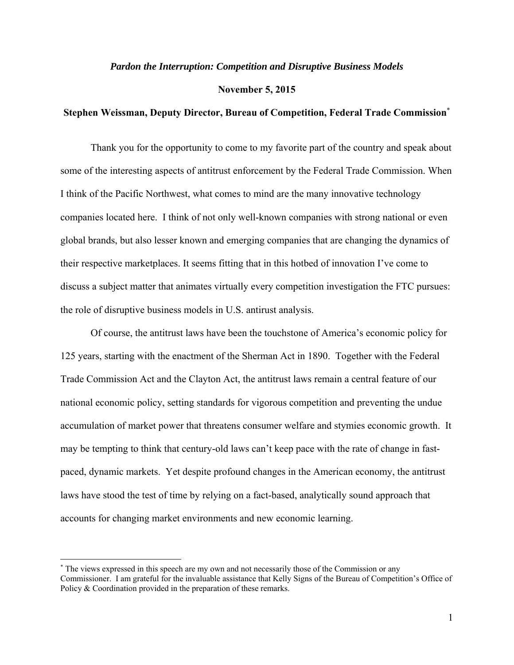## *Pardon the Interruption: Competition and Disruptive Business Models*

#### **November 5, 2015**

# **Stephen Weissman, Deputy Director, Bureau of Competition, Federal Trade Commission**\*

Thank you for the opportunity to come to my favorite part of the country and speak about some of the interesting aspects of antitrust enforcement by the Federal Trade Commission. When I think of the Pacific Northwest, what comes to mind are the many innovative technology companies located here. I think of not only well-known companies with strong national or even global brands, but also lesser known and emerging companies that are changing the dynamics of their respective marketplaces. It seems fitting that in this hotbed of innovation I've come to discuss a subject matter that animates virtually every competition investigation the FTC pursues: the role of disruptive business models in U.S. antirust analysis.

Of course, the antitrust laws have been the touchstone of America's economic policy for 125 years, starting with the enactment of the Sherman Act in 1890. Together with the Federal Trade Commission Act and the Clayton Act, the antitrust laws remain a central feature of our national economic policy, setting standards for vigorous competition and preventing the undue accumulation of market power that threatens consumer welfare and stymies economic growth. It may be tempting to think that century-old laws can't keep pace with the rate of change in fastpaced, dynamic markets. Yet despite profound changes in the American economy, the antitrust laws have stood the test of time by relying on a fact-based, analytically sound approach that accounts for changing market environments and new economic learning.

<sup>\*</sup> The views expressed in this speech are my own and not necessarily those of the Commission or any Commissioner. I am grateful for the invaluable assistance that Kelly Signs of the Bureau of Competition's Office of Policy & Coordination provided in the preparation of these remarks.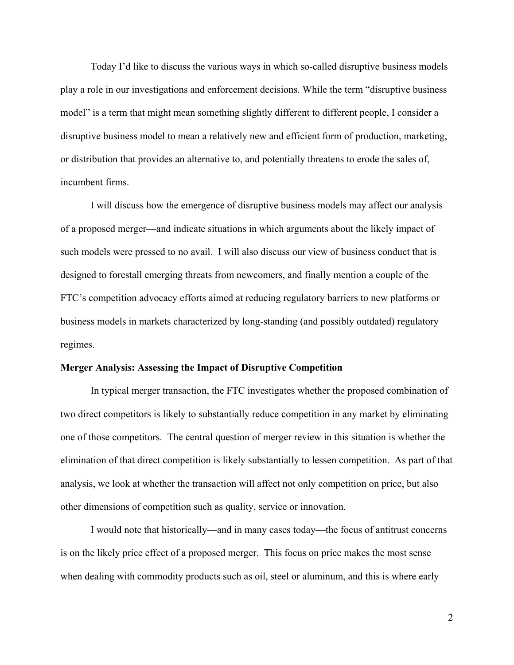Today I'd like to discuss the various ways in which so-called disruptive business models play a role in our investigations and enforcement decisions. While the term "disruptive business model" is a term that might mean something slightly different to different people, I consider a disruptive business model to mean a relatively new and efficient form of production, marketing, or distribution that provides an alternative to, and potentially threatens to erode the sales of, incumbent firms.

I will discuss how the emergence of disruptive business models may affect our analysis of a proposed merger—and indicate situations in which arguments about the likely impact of such models were pressed to no avail. I will also discuss our view of business conduct that is designed to forestall emerging threats from newcomers, and finally mention a couple of the FTC's competition advocacy efforts aimed at reducing regulatory barriers to new platforms or business models in markets characterized by long-standing (and possibly outdated) regulatory regimes.

#### **Merger Analysis: Assessing the Impact of Disruptive Competition**

 In typical merger transaction, the FTC investigates whether the proposed combination of two direct competitors is likely to substantially reduce competition in any market by eliminating one of those competitors. The central question of merger review in this situation is whether the elimination of that direct competition is likely substantially to lessen competition. As part of that analysis, we look at whether the transaction will affect not only competition on price, but also other dimensions of competition such as quality, service or innovation.

I would note that historically—and in many cases today—the focus of antitrust concerns is on the likely price effect of a proposed merger. This focus on price makes the most sense when dealing with commodity products such as oil, steel or aluminum, and this is where early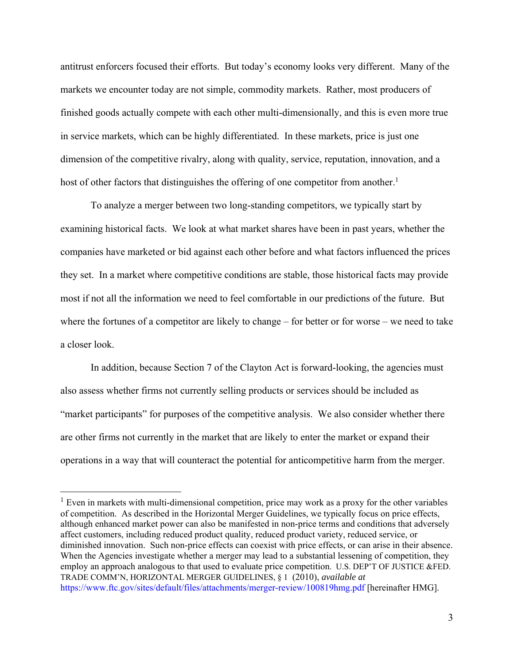antitrust enforcers focused their efforts. But today's economy looks very different. Many of the markets we encounter today are not simple, commodity markets. Rather, most producers of finished goods actually compete with each other multi-dimensionally, and this is even more true in service markets, which can be highly differentiated. In these markets, price is just one dimension of the competitive rivalry, along with quality, service, reputation, innovation, and a host of other factors that distinguishes the offering of one competitor from another.<sup>1</sup>

 To analyze a merger between two long-standing competitors, we typically start by examining historical facts. We look at what market shares have been in past years, whether the companies have marketed or bid against each other before and what factors influenced the prices they set. In a market where competitive conditions are stable, those historical facts may provide most if not all the information we need to feel comfortable in our predictions of the future. But where the fortunes of a competitor are likely to change – for better or for worse – we need to take a closer look.

In addition, because Section 7 of the Clayton Act is forward-looking, the agencies must also assess whether firms not currently selling products or services should be included as "market participants" for purposes of the competitive analysis. We also consider whether there are other firms not currently in the market that are likely to enter the market or expand their operations in a way that will counteract the potential for anticompetitive harm from the merger.

 $<sup>1</sup>$  Even in markets with multi-dimensional competition, price may work as a proxy for the other variables</sup> of competition. As described in the Horizontal Merger Guidelines, we typically focus on price effects, although enhanced market power can also be manifested in non-price terms and conditions that adversely affect customers, including reduced product quality, reduced product variety, reduced service, or diminished innovation. Such non-price effects can coexist with price effects, or can arise in their absence. When the Agencies investigate whether a merger may lead to a substantial lessening of competition, they employ an approach analogous to that used to evaluate price competition. U.S. DEP'T OF JUSTICE &FED. TRADE COMM'N, HORIZONTAL MERGER GUIDELINES, § 1 (2010), *available at*  https://www.ftc.gov/sites/default/files/attachments/merger-review/100819hmg.pdf [hereinafter HMG].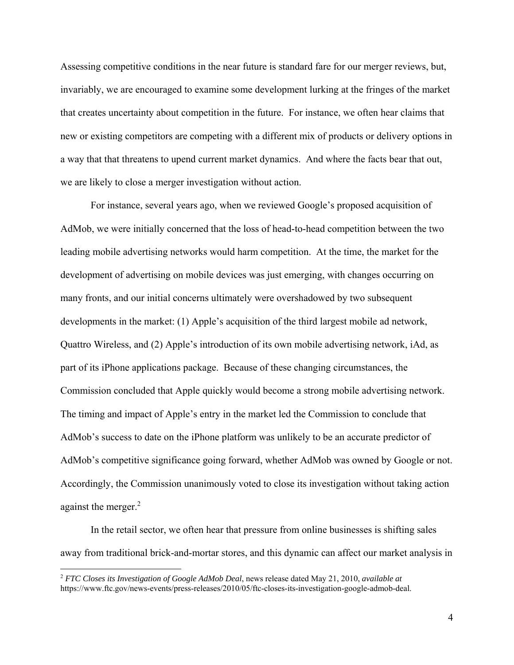Assessing competitive conditions in the near future is standard fare for our merger reviews, but, invariably, we are encouraged to examine some development lurking at the fringes of the market that creates uncertainty about competition in the future. For instance, we often hear claims that new or existing competitors are competing with a different mix of products or delivery options in a way that that threatens to upend current market dynamics. And where the facts bear that out, we are likely to close a merger investigation without action.

For instance, several years ago, when we reviewed Google's proposed acquisition of AdMob, we were initially concerned that the loss of head-to-head competition between the two leading mobile advertising networks would harm competition. At the time, the market for the development of advertising on mobile devices was just emerging, with changes occurring on many fronts, and our initial concerns ultimately were overshadowed by two subsequent developments in the market: (1) Apple's acquisition of the third largest mobile ad network, Quattro Wireless, and (2) Apple's introduction of its own mobile advertising network, iAd, as part of its iPhone applications package. Because of these changing circumstances, the Commission concluded that Apple quickly would become a strong mobile advertising network. The timing and impact of Apple's entry in the market led the Commission to conclude that AdMob's success to date on the iPhone platform was unlikely to be an accurate predictor of AdMob's competitive significance going forward, whether AdMob was owned by Google or not. Accordingly, the Commission unanimously voted to close its investigation without taking action against the merger.<sup>2</sup>

 In the retail sector, we often hear that pressure from online businesses is shifting sales away from traditional brick-and-mortar stores, and this dynamic can affect our market analysis in

<sup>2</sup> *FTC Closes its Investigation of Google AdMob Deal*, news release dated May 21, 2010, *available at* https://www.ftc.gov/news-events/press-releases/2010/05/ftc-closes-its-investigation-google-admob-deal.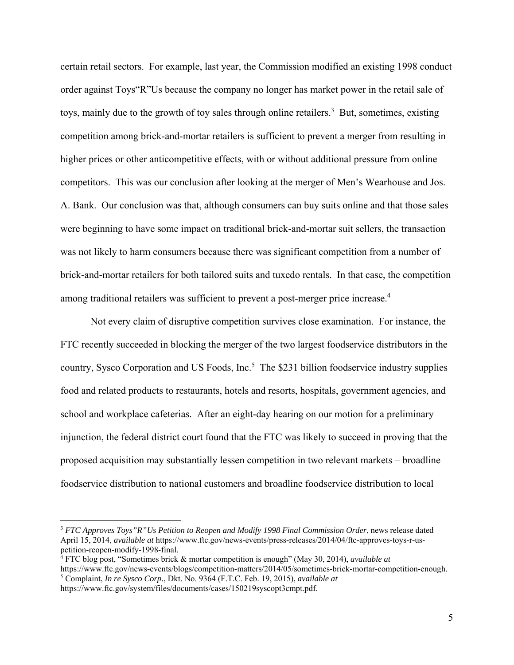certain retail sectors. For example, last year, the Commission modified an existing 1998 conduct order against Toys"R"Us because the company no longer has market power in the retail sale of toys, mainly due to the growth of toy sales through online retailers.<sup>3</sup> But, sometimes, existing competition among brick-and-mortar retailers is sufficient to prevent a merger from resulting in higher prices or other anticompetitive effects, with or without additional pressure from online competitors. This was our conclusion after looking at the merger of Men's Wearhouse and Jos. A. Bank. Our conclusion was that, although consumers can buy suits online and that those sales were beginning to have some impact on traditional brick-and-mortar suit sellers, the transaction was not likely to harm consumers because there was significant competition from a number of brick-and-mortar retailers for both tailored suits and tuxedo rentals. In that case, the competition among traditional retailers was sufficient to prevent a post-merger price increase.<sup>4</sup>

Not every claim of disruptive competition survives close examination. For instance, the FTC recently succeeded in blocking the merger of the two largest foodservice distributors in the country, Sysco Corporation and US Foods, Inc.<sup>5</sup> The \$231 billion foodservice industry supplies food and related products to restaurants, hotels and resorts, hospitals, government agencies, and school and workplace cafeterias. After an eight-day hearing on our motion for a preliminary injunction, the federal district court found that the FTC was likely to succeed in proving that the proposed acquisition may substantially lessen competition in two relevant markets – broadline foodservice distribution to national customers and broadline foodservice distribution to local

<sup>3</sup> *FTC Approves Toys"R"Us Petition to Reopen and Modify 1998 Final Commission Order*, news release dated April 15, 2014, *available at* https://www.ftc.gov/news-events/press-releases/2014/04/ftc-approves-toys-r-uspetition-reopen-modify-1998-final.

<sup>4</sup> FTC blog post, "Sometimes brick & mortar competition is enough" (May 30, 2014), *available at*

https://www.ftc.gov/news-events/blogs/competition-matters/2014/05/sometimes-brick-mortar-competition-enough. 5 Complaint, *In re Sysco Corp.*, Dkt. No. 9364 (F.T.C. Feb. 19, 2015), *available at*  https://www.ftc.gov/system/files/documents/cases/150219syscopt3cmpt.pdf.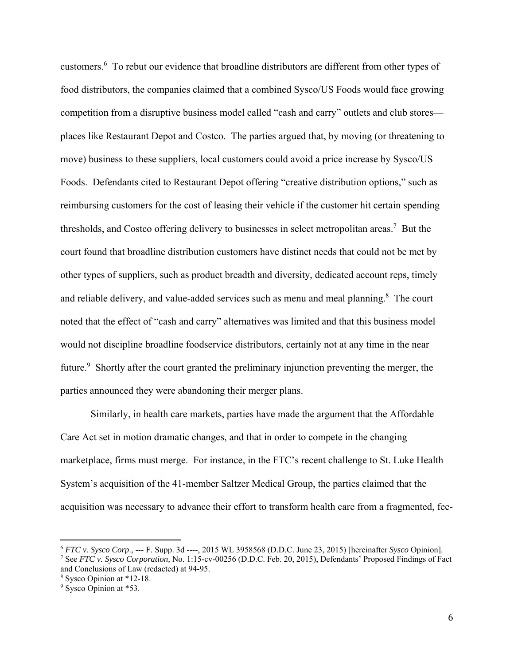customers.<sup>6</sup> To rebut our evidence that broadline distributors are different from other types of food distributors, the companies claimed that a combined Sysco/US Foods would face growing competition from a disruptive business model called "cash and carry" outlets and club stores places like Restaurant Depot and Costco. The parties argued that, by moving (or threatening to move) business to these suppliers, local customers could avoid a price increase by Sysco/US Foods. Defendants cited to Restaurant Depot offering "creative distribution options," such as reimbursing customers for the cost of leasing their vehicle if the customer hit certain spending thresholds, and Costco offering delivery to businesses in select metropolitan areas.<sup>7</sup> But the court found that broadline distribution customers have distinct needs that could not be met by other types of suppliers, such as product breadth and diversity, dedicated account reps, timely and reliable delivery, and value-added services such as menu and meal planning.<sup>8</sup> The court noted that the effect of "cash and carry" alternatives was limited and that this business model would not discipline broadline foodservice distributors, certainly not at any time in the near future.<sup>9</sup> Shortly after the court granted the preliminary injunction preventing the merger, the parties announced they were abandoning their merger plans.

 Similarly, in health care markets, parties have made the argument that the Affordable Care Act set in motion dramatic changes, and that in order to compete in the changing marketplace, firms must merge. For instance, in the FTC's recent challenge to St. Luke Health System's acquisition of the 41-member Saltzer Medical Group, the parties claimed that the acquisition was necessary to advance their effort to transform health care from a fragmented, fee-

<sup>6</sup> *FTC v. Sysco Corp*., --- F. Supp. 3d ----, 2015 WL 3958568 (D.D.C. June 23, 2015) [hereinafter *Sysco* Opinion]. 7 See *FTC v. Sysco Corporation,* No. 1:15-cv-00256 (D.D.C. Feb. 20, 2015), Defendants' Proposed Findings of Fact and Conclusions of Law (redacted) at 94-95.

<sup>8</sup> Sysco Opinion at \*12-18.

<sup>&</sup>lt;sup>9</sup> Sysco Opinion at \*53.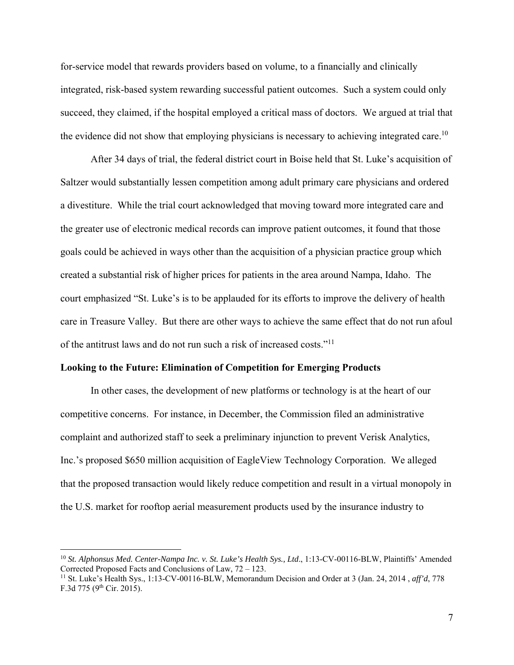for-service model that rewards providers based on volume, to a financially and clinically integrated, risk-based system rewarding successful patient outcomes. Such a system could only succeed, they claimed, if the hospital employed a critical mass of doctors. We argued at trial that the evidence did not show that employing physicians is necessary to achieving integrated care.<sup>10</sup>

 After 34 days of trial, the federal district court in Boise held that St. Luke's acquisition of Saltzer would substantially lessen competition among adult primary care physicians and ordered a divestiture. While the trial court acknowledged that moving toward more integrated care and the greater use of electronic medical records can improve patient outcomes, it found that those goals could be achieved in ways other than the acquisition of a physician practice group which created a substantial risk of higher prices for patients in the area around Nampa, Idaho. The court emphasized "St. Luke's is to be applauded for its efforts to improve the delivery of health care in Treasure Valley. But there are other ways to achieve the same effect that do not run afoul of the antitrust laws and do not run such a risk of increased costs."11

## **Looking to the Future: Elimination of Competition for Emerging Products**

 $\overline{a}$ 

 In other cases, the development of new platforms or technology is at the heart of our competitive concerns. For instance, in December, the Commission filed an administrative complaint and authorized staff to seek a preliminary injunction to prevent Verisk Analytics, Inc.'s proposed \$650 million acquisition of EagleView Technology Corporation. We alleged that the proposed transaction would likely reduce competition and result in a virtual monopoly in the U.S. market for rooftop aerial measurement products used by the insurance industry to

<sup>10</sup> *St. Alphonsus Med. Center-Nampa Inc. v. St. Luke's Health Sys., Ltd*., 1:13-CV-00116-BLW, Plaintiffs' Amended Corrected Proposed Facts and Conclusions of Law, 72 – 123.

<sup>11</sup> St. Luke's Health Sys., 1:13-CV-00116-BLW, Memorandum Decision and Order at 3 (Jan. 24, 2014 , *aff'd*, 778 F.3d 775 (9<sup>th</sup> Cir. 2015).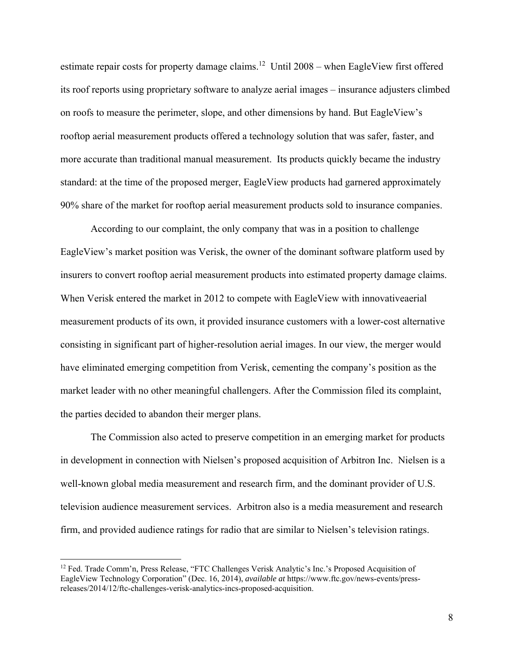estimate repair costs for property damage claims.<sup>12</sup> Until 2008 – when EagleView first offered its roof reports using proprietary software to analyze aerial images – insurance adjusters climbed on roofs to measure the perimeter, slope, and other dimensions by hand. But EagleView's rooftop aerial measurement products offered a technology solution that was safer, faster, and more accurate than traditional manual measurement. Its products quickly became the industry standard: at the time of the proposed merger, EagleView products had garnered approximately 90% share of the market for rooftop aerial measurement products sold to insurance companies.

According to our complaint, the only company that was in a position to challenge EagleView's market position was Verisk, the owner of the dominant software platform used by insurers to convert rooftop aerial measurement products into estimated property damage claims. When Verisk entered the market in 2012 to compete with EagleView with innovative aerial measurement products of its own, it provided insurance customers with a lower-cost alternative consisting in significant part of higher-resolution aerial images. In our view, the merger would have eliminated emerging competition from Verisk, cementing the company's position as the market leader with no other meaningful challengers. After the Commission filed its complaint, the parties decided to abandon their merger plans.

The Commission also acted to preserve competition in an emerging market for products in development in connection with Nielsen's proposed acquisition of Arbitron Inc. Nielsen is a well-known global media measurement and research firm, and the dominant provider of U.S. television audience measurement services. Arbitron also is a media measurement and research firm, and provided audience ratings for radio that are similar to Nielsen's television ratings.

<sup>&</sup>lt;sup>12</sup> Fed. Trade Comm'n, Press Release, "FTC Challenges Verisk Analytic's Inc.'s Proposed Acquisition of EagleView Technology Corporation" (Dec. 16, 2014), *available at* https://www.ftc.gov/news-events/pressreleases/2014/12/ftc-challenges-verisk-analytics-incs-proposed-acquisition.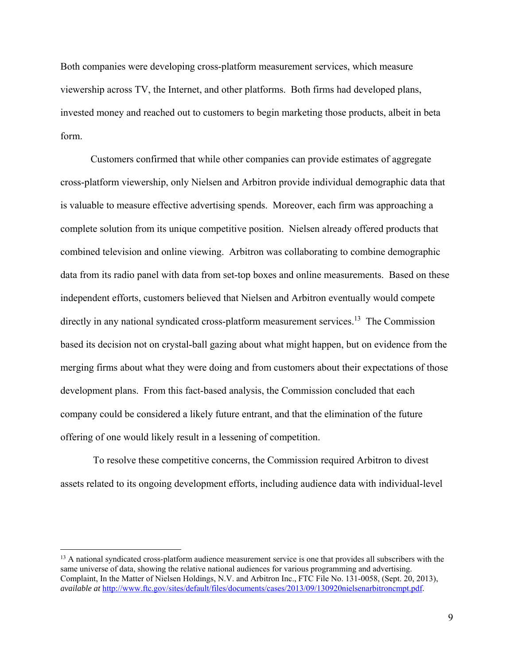Both companies were developing cross-platform measurement services, which measure viewership across TV, the Internet, and other platforms. Both firms had developed plans, invested money and reached out to customers to begin marketing those products, albeit in beta form.

Customers confirmed that while other companies can provide estimates of aggregate cross-platform viewership, only Nielsen and Arbitron provide individual demographic data that is valuable to measure effective advertising spends. Moreover, each firm was approaching a complete solution from its unique competitive position. Nielsen already offered products that combined television and online viewing. Arbitron was collaborating to combine demographic data from its radio panel with data from set-top boxes and online measurements. Based on these independent efforts, customers believed that Nielsen and Arbitron eventually would compete directly in any national syndicated cross-platform measurement services.<sup>13</sup> The Commission based its decision not on crystal-ball gazing about what might happen, but on evidence from the merging firms about what they were doing and from customers about their expectations of those development plans. From this fact-based analysis, the Commission concluded that each company could be considered a likely future entrant, and that the elimination of the future offering of one would likely result in a lessening of competition.

 To resolve these competitive concerns, the Commission required Arbitron to divest assets related to its ongoing development efforts, including audience data with individual-level

<sup>&</sup>lt;sup>13</sup> A national syndicated cross-platform audience measurement service is one that provides all subscribers with the same universe of data, showing the relative national audiences for various programming and advertising. Complaint, In the Matter of Nielsen Holdings, N.V. and Arbitron Inc., FTC File No. 131-0058, (Sept. 20, 2013), *available at* http://www.ftc.gov/sites/default/files/documents/cases/2013/09/130920nielsenarbitroncmpt.pdf.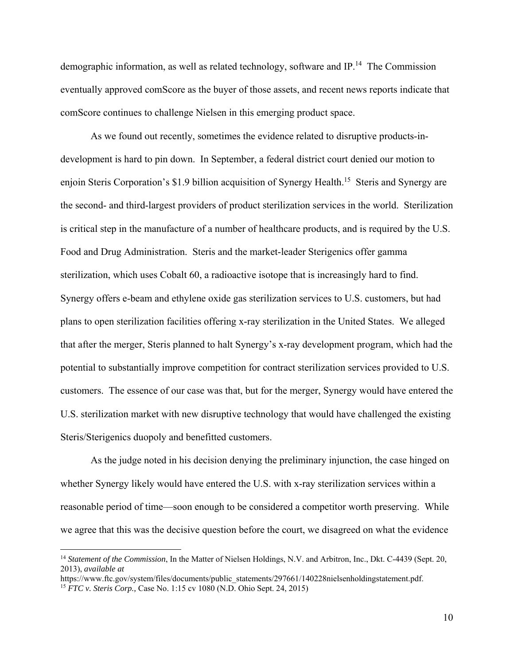demographic information, as well as related technology, software and IP.14 The Commission eventually approved comScore as the buyer of those assets, and recent news reports indicate that comScore continues to challenge Nielsen in this emerging product space.

As we found out recently, sometimes the evidence related to disruptive products-indevelopment is hard to pin down. In September, a federal district court denied our motion to enjoin Steris Corporation's \$1.9 billion acquisition of Synergy Health.<sup>15</sup> Steris and Synergy are the second- and third-largest providers of product sterilization services in the world. Sterilization is critical step in the manufacture of a number of healthcare products, and is required by the U.S. Food and Drug Administration. Steris and the market-leader Sterigenics offer gamma sterilization, which uses Cobalt 60, a radioactive isotope that is increasingly hard to find. Synergy offers e-beam and ethylene oxide gas sterilization services to U.S. customers, but had plans to open sterilization facilities offering x-ray sterilization in the United States. We alleged that after the merger, Steris planned to halt Synergy's x-ray development program, which had the potential to substantially improve competition for contract sterilization services provided to U.S. customers. The essence of our case was that, but for the merger, Synergy would have entered the U.S. sterilization market with new disruptive technology that would have challenged the existing Steris/Sterigenics duopoly and benefitted customers.

As the judge noted in his decision denying the preliminary injunction, the case hinged on whether Synergy likely would have entered the U.S. with x-ray sterilization services within a reasonable period of time—soon enough to be considered a competitor worth preserving. While we agree that this was the decisive question before the court, we disagreed on what the evidence

<sup>14</sup> *Statement of the Commission*, In the Matter of Nielsen Holdings, N.V. and Arbitron, Inc., Dkt. C-4439 (Sept. 20, 2013), *available at*

https://www.ftc.gov/system/files/documents/public\_statements/297661/140228nielsenholdingstatement.pdf. <sup>15</sup> *FTC v. Steris Corp.,* Case No. 1:15 cv 1080 (N.D. Ohio Sept. 24, 2015)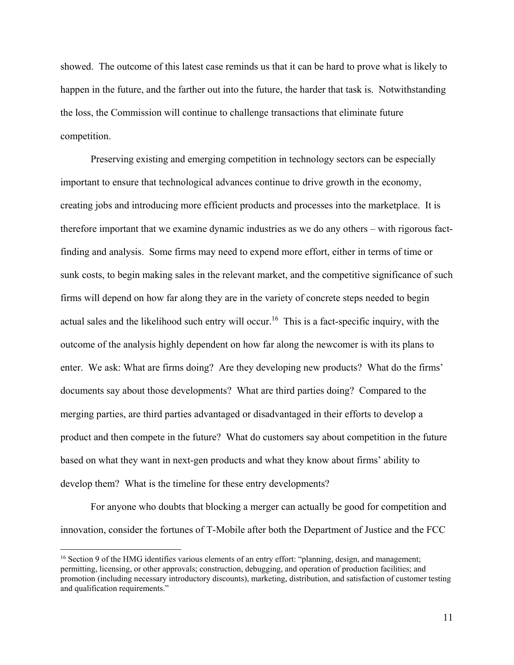showed. The outcome of this latest case reminds us that it can be hard to prove what is likely to happen in the future, and the farther out into the future, the harder that task is. Notwithstanding the loss, the Commission will continue to challenge transactions that eliminate future competition.

Preserving existing and emerging competition in technology sectors can be especially important to ensure that technological advances continue to drive growth in the economy, creating jobs and introducing more efficient products and processes into the marketplace. It is therefore important that we examine dynamic industries as we do any others – with rigorous factfinding and analysis. Some firms may need to expend more effort, either in terms of time or sunk costs, to begin making sales in the relevant market, and the competitive significance of such firms will depend on how far along they are in the variety of concrete steps needed to begin actual sales and the likelihood such entry will occur.<sup>16</sup> This is a fact-specific inquiry, with the outcome of the analysis highly dependent on how far along the newcomer is with its plans to enter. We ask: What are firms doing? Are they developing new products? What do the firms' documents say about those developments? What are third parties doing? Compared to the merging parties, are third parties advantaged or disadvantaged in their efforts to develop a product and then compete in the future? What do customers say about competition in the future based on what they want in next-gen products and what they know about firms' ability to develop them? What is the timeline for these entry developments?

For anyone who doubts that blocking a merger can actually be good for competition and innovation, consider the fortunes of T-Mobile after both the Department of Justice and the FCC

<sup>&</sup>lt;sup>16</sup> Section 9 of the HMG identifies various elements of an entry effort: "planning, design, and management; permitting, licensing, or other approvals; construction, debugging, and operation of production facilities; and promotion (including necessary introductory discounts), marketing, distribution, and satisfaction of customer testing and qualification requirements."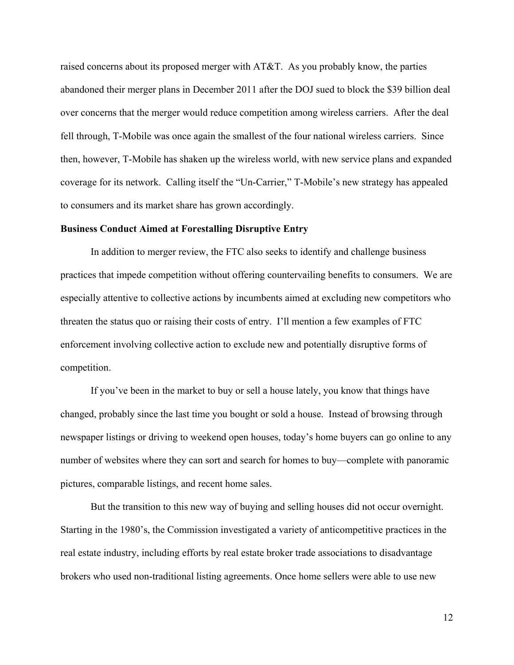raised concerns about its proposed merger with AT&T. As you probably know, the parties abandoned their merger plans in December 2011 after the DOJ sued to block the \$39 billion deal over concerns that the merger would reduce competition among wireless carriers. After the deal fell through, T-Mobile was once again the smallest of the four national wireless carriers. Since then, however, T-Mobile has shaken up the wireless world, with new service plans and expanded coverage for its network. Calling itself the "Un-Carrier," T-Mobile's new strategy has appealed to consumers and its market share has grown accordingly.

### **Business Conduct Aimed at Forestalling Disruptive Entry**

In addition to merger review, the FTC also seeks to identify and challenge business practices that impede competition without offering countervailing benefits to consumers. We are especially attentive to collective actions by incumbents aimed at excluding new competitors who threaten the status quo or raising their costs of entry. I'll mention a few examples of FTC enforcement involving collective action to exclude new and potentially disruptive forms of competition.

If you've been in the market to buy or sell a house lately, you know that things have changed, probably since the last time you bought or sold a house. Instead of browsing through newspaper listings or driving to weekend open houses, today's home buyers can go online to any number of websites where they can sort and search for homes to buy—complete with panoramic pictures, comparable listings, and recent home sales.

But the transition to this new way of buying and selling houses did not occur overnight. Starting in the 1980's, the Commission investigated a variety of anticompetitive practices in the real estate industry, including efforts by real estate broker trade associations to disadvantage brokers who used non-traditional listing agreements. Once home sellers were able to use new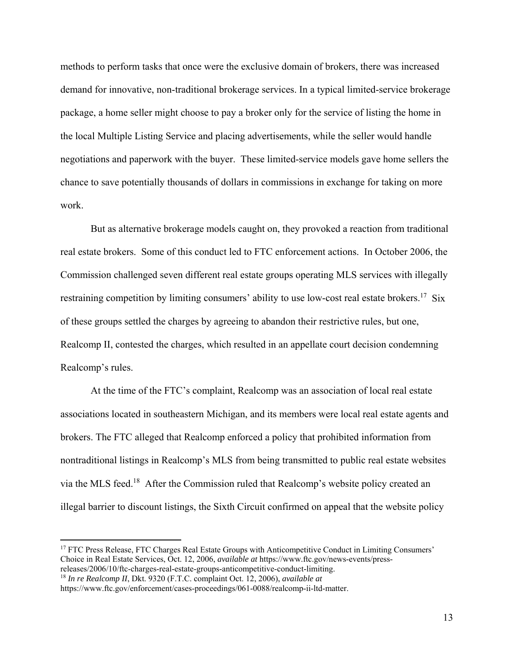methods to perform tasks that once were the exclusive domain of brokers, there was increased demand for innovative, non-traditional brokerage services. In a typical limited-service brokerage package, a home seller might choose to pay a broker only for the service of listing the home in the local Multiple Listing Service and placing advertisements, while the seller would handle negotiations and paperwork with the buyer. These limited-service models gave home sellers the chance to save potentially thousands of dollars in commissions in exchange for taking on more work.

But as alternative brokerage models caught on, they provoked a reaction from traditional real estate brokers. Some of this conduct led to FTC enforcement actions. In October 2006, the Commission challenged seven different real estate groups operating MLS services with illegally restraining competition by limiting consumers' ability to use low-cost real estate brokers.<sup>17</sup> Six of these groups settled the charges by agreeing to abandon their restrictive rules, but one, Realcomp II, contested the charges, which resulted in an appellate court decision condemning Realcomp's rules.

At the time of the FTC's complaint, Realcomp was an association of local real estate associations located in southeastern Michigan, and its members were local real estate agents and brokers. The FTC alleged that Realcomp enforced a policy that prohibited information from nontraditional listings in Realcomp's MLS from being transmitted to public real estate websites via the MLS feed.18 After the Commission ruled that Realcomp's website policy created an illegal barrier to discount listings, the Sixth Circuit confirmed on appeal that the website policy

17 FTC Press Release, FTC Charges Real Estate Groups with Anticompetitive Conduct in Limiting Consumers' Choice in Real Estate Services, Oct. 12, 2006, *available at* https://www.ftc.gov/news-events/press-

releases/2006/10/ftc-charges-real-estate-groups-anticompetitive-conduct-limiting. <sup>18</sup> *In re Realcomp II*, Dkt. 9320 (F.T.C. complaint Oct. 12, 2006), *available at*

https://www.ftc.gov/enforcement/cases-proceedings/061-0088/realcomp-ii-ltd-matter.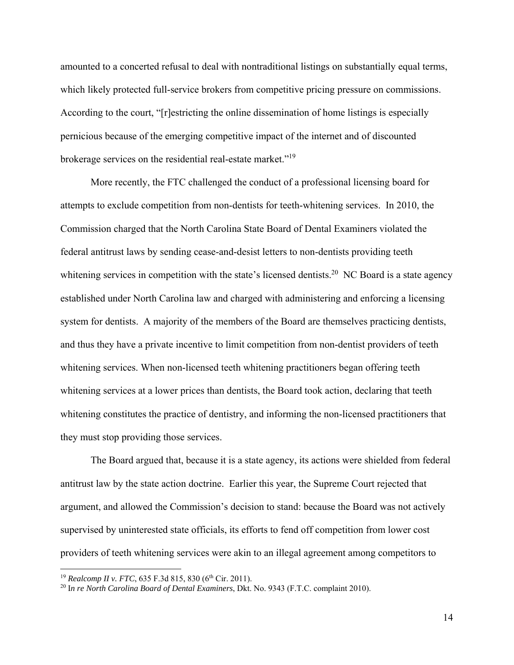amounted to a concerted refusal to deal with nontraditional listings on substantially equal terms, which likely protected full-service brokers from competitive pricing pressure on commissions. According to the court, "[r]estricting the online dissemination of home listings is especially pernicious because of the emerging competitive impact of the internet and of discounted brokerage services on the residential real-estate market."19

More recently, the FTC challenged the conduct of a professional licensing board for attempts to exclude competition from non-dentists for teeth-whitening services. In 2010, the Commission charged that the North Carolina State Board of Dental Examiners violated the federal antitrust laws by sending cease-and-desist letters to non-dentists providing teeth whitening services in competition with the state's licensed dentists.<sup>20</sup> NC Board is a state agency established under North Carolina law and charged with administering and enforcing a licensing system for dentists. A majority of the members of the Board are themselves practicing dentists, and thus they have a private incentive to limit competition from non-dentist providers of teeth whitening services. When non-licensed teeth whitening practitioners began offering teeth whitening services at a lower prices than dentists, the Board took action, declaring that teeth whitening constitutes the practice of dentistry, and informing the non-licensed practitioners that they must stop providing those services.

The Board argued that, because it is a state agency, its actions were shielded from federal antitrust law by the state action doctrine. Earlier this year, the Supreme Court rejected that argument, and allowed the Commission's decision to stand: because the Board was not actively supervised by uninterested state officials, its efforts to fend off competition from lower cost providers of teeth whitening services were akin to an illegal agreement among competitors to

<sup>&</sup>lt;sup>19</sup> *Realcomp II v. FTC*, 635 F.3d 815, 830 (6<sup>th</sup> Cir. 2011).

<sup>20</sup> I*n re North Carolina Board of Dental Examiners*, Dkt. No. 9343 (F.T.C. complaint 2010).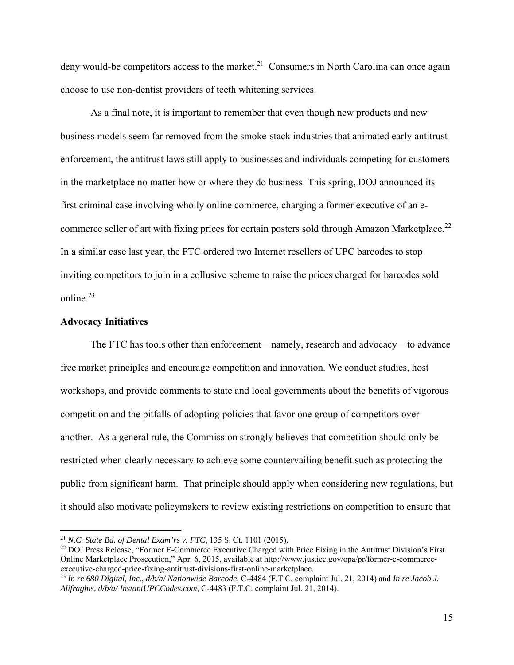deny would-be competitors access to the market.<sup>21</sup> Consumers in North Carolina can once again choose to use non-dentist providers of teeth whitening services.

As a final note, it is important to remember that even though new products and new business models seem far removed from the smoke-stack industries that animated early antitrust enforcement, the antitrust laws still apply to businesses and individuals competing for customers in the marketplace no matter how or where they do business. This spring, DOJ announced its first criminal case involving wholly online commerce, charging a former executive of an ecommerce seller of art with fixing prices for certain posters sold through Amazon Marketplace.<sup>22</sup> In a similar case last year, the FTC ordered two Internet resellers of UPC barcodes to stop inviting competitors to join in a collusive scheme to raise the prices charged for barcodes sold online.23

### **Advocacy Initiatives**

 $\overline{a}$ 

 The FTC has tools other than enforcement—namely, research and advocacy—to advance free market principles and encourage competition and innovation. We conduct studies, host workshops, and provide comments to state and local governments about the benefits of vigorous competition and the pitfalls of adopting policies that favor one group of competitors over another. As a general rule, the Commission strongly believes that competition should only be restricted when clearly necessary to achieve some countervailing benefit such as protecting the public from significant harm. That principle should apply when considering new regulations, but it should also motivate policymakers to review existing restrictions on competition to ensure that

<sup>&</sup>lt;sup>21</sup> *N.C. State Bd. of Dental Exam'rs v. FTC*, 135 S. Ct. 1101 (2015).<br><sup>22</sup> DOJ Press Release, "Former E-Commerce Executive Charged with Price Fixing in the Antitrust Division's First Online Marketplace Prosecution," Apr. 6, 2015, available at http://www.justice.gov/opa/pr/former-e-commerceexecutive-charged-price-fixing-antitrust-divisions-first-online-marketplace.

<sup>23</sup> *In re 680 Digital, Inc., d/b/a/ Nationwide Barcode*, C-4484 (F.T.C. complaint Jul. 21, 2014) and *In re Jacob J. Alifraghis, d/b/a/ InstantUPCCodes.com*, C-4483 (F.T.C. complaint Jul. 21, 2014).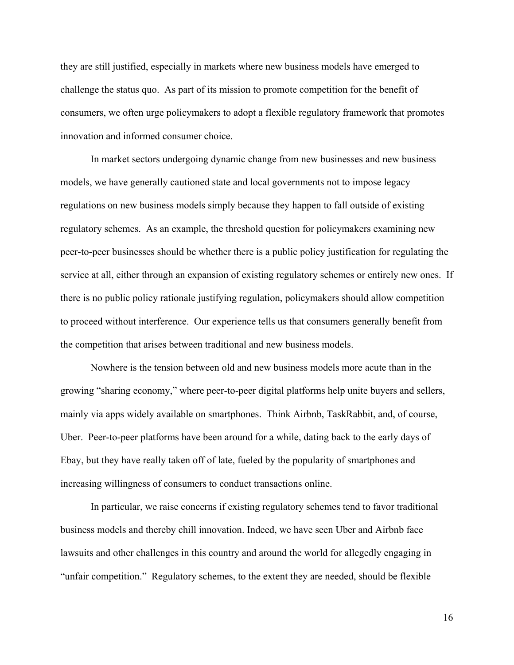they are still justified, especially in markets where new business models have emerged to challenge the status quo. As part of its mission to promote competition for the benefit of consumers, we often urge policymakers to adopt a flexible regulatory framework that promotes innovation and informed consumer choice.

 In market sectors undergoing dynamic change from new businesses and new business models, we have generally cautioned state and local governments not to impose legacy regulations on new business models simply because they happen to fall outside of existing regulatory schemes. As an example, the threshold question for policymakers examining new peer-to-peer businesses should be whether there is a public policy justification for regulating the service at all, either through an expansion of existing regulatory schemes or entirely new ones. If there is no public policy rationale justifying regulation, policymakers should allow competition to proceed without interference. Our experience tells us that consumers generally benefit from the competition that arises between traditional and new business models.

Nowhere is the tension between old and new business models more acute than in the growing "sharing economy," where peer-to-peer digital platforms help unite buyers and sellers, mainly via apps widely available on smartphones. Think Airbnb, TaskRabbit, and, of course, Uber. Peer-to-peer platforms have been around for a while, dating back to the early days of Ebay, but they have really taken off of late, fueled by the popularity of smartphones and increasing willingness of consumers to conduct transactions online.

In particular, we raise concerns if existing regulatory schemes tend to favor traditional business models and thereby chill innovation. Indeed, we have seen Uber and Airbnb face lawsuits and other challenges in this country and around the world for allegedly engaging in "unfair competition." Regulatory schemes, to the extent they are needed, should be flexible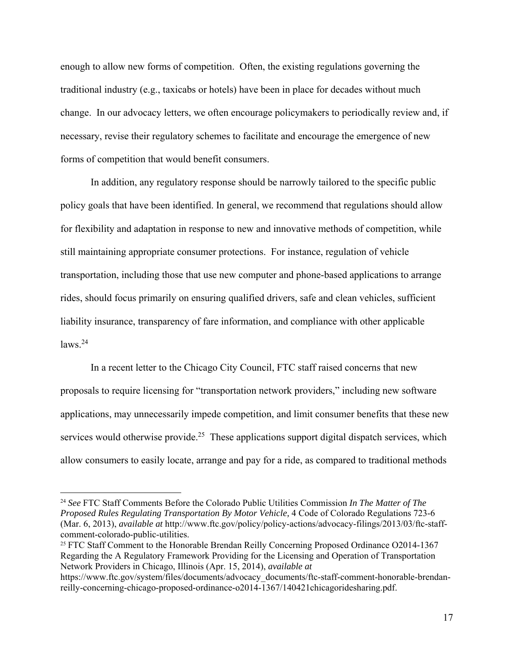enough to allow new forms of competition. Often, the existing regulations governing the traditional industry (e.g., taxicabs or hotels) have been in place for decades without much change. In our advocacy letters, we often encourage policymakers to periodically review and, if necessary, revise their regulatory schemes to facilitate and encourage the emergence of new forms of competition that would benefit consumers.

In addition, any regulatory response should be narrowly tailored to the specific public policy goals that have been identified. In general, we recommend that regulations should allow for flexibility and adaptation in response to new and innovative methods of competition, while still maintaining appropriate consumer protections. For instance, regulation of vehicle transportation, including those that use new computer and phone-based applications to arrange rides, should focus primarily on ensuring qualified drivers, safe and clean vehicles, sufficient liability insurance, transparency of fare information, and compliance with other applicable  $l$ aws<sup>24</sup>

 In a recent letter to the Chicago City Council, FTC staff raised concerns that new proposals to require licensing for "transportation network providers," including new software applications, may unnecessarily impede competition, and limit consumer benefits that these new services would otherwise provide.<sup>25</sup> These applications support digital dispatch services, which allow consumers to easily locate, arrange and pay for a ride, as compared to traditional methods

<sup>24</sup> *See* FTC Staff Comments Before the Colorado Public Utilities Commission *In The Matter of The Proposed Rules Regulating Transportation By Motor Vehicle,* 4 Code of Colorado Regulations 723-6 (Mar. 6, 2013), *available at* http://www.ftc.gov/policy/policy-actions/advocacy-filings/2013/03/ftc-staffcomment-colorado-public-utilities.

<sup>&</sup>lt;sup>25</sup> FTC Staff Comment to the Honorable Brendan Reilly Concerning Proposed Ordinance O2014-1367 Regarding the A Regulatory Framework Providing for the Licensing and Operation of Transportation Network Providers in Chicago, Illinois (Apr. 15, 2014), *available at* 

https://www.ftc.gov/system/files/documents/advocacy\_documents/ftc-staff-comment-honorable-brendanreilly-concerning-chicago-proposed-ordinance-o2014-1367/140421chicagoridesharing.pdf.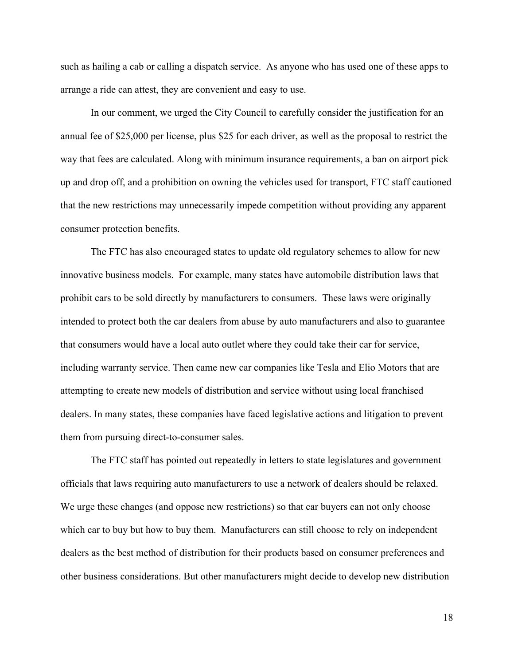such as hailing a cab or calling a dispatch service. As anyone who has used one of these apps to arrange a ride can attest, they are convenient and easy to use.

 In our comment, we urged the City Council to carefully consider the justification for an annual fee of \$25,000 per license, plus \$25 for each driver, as well as the proposal to restrict the way that fees are calculated. Along with minimum insurance requirements, a ban on airport pick up and drop off, and a prohibition on owning the vehicles used for transport, FTC staff cautioned that the new restrictions may unnecessarily impede competition without providing any apparent consumer protection benefits.

The FTC has also encouraged states to update old regulatory schemes to allow for new innovative business models. For example, many states have automobile distribution laws that prohibit cars to be sold directly by manufacturers to consumers. These laws were originally intended to protect both the car dealers from abuse by auto manufacturers and also to guarantee that consumers would have a local auto outlet where they could take their car for service, including warranty service. Then came new car companies like Tesla and Elio Motors that are attempting to create new models of distribution and service without using local franchised dealers. In many states, these companies have faced legislative actions and litigation to prevent them from pursuing direct-to-consumer sales.

The FTC staff has pointed out repeatedly in letters to state legislatures and government officials that laws requiring auto manufacturers to use a network of dealers should be relaxed. We urge these changes (and oppose new restrictions) so that car buyers can not only choose which car to buy but how to buy them. Manufacturers can still choose to rely on independent dealers as the best method of distribution for their products based on consumer preferences and other business considerations. But other manufacturers might decide to develop new distribution